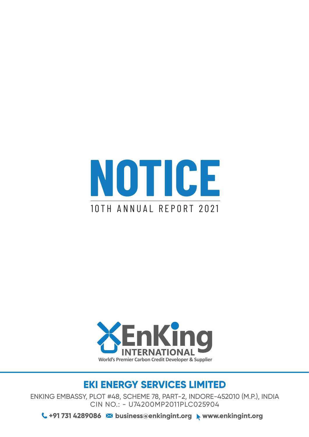



### **EKI ENERGY SERVICES LIMITED**

ENKING EMBASSY, PLOT #48, SCHEME 78, PART-2, INDORE-452010 (M.P.), INDIA CIN NO.: - U74200MP2011PLC025904

**+91 731 4289086 business@enkingint.org www.enkingint.org**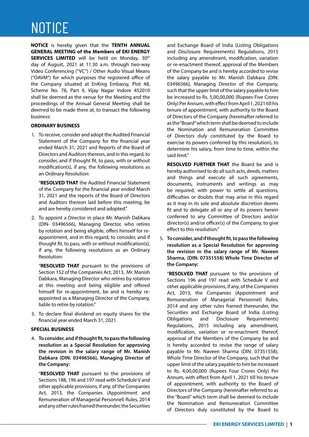# NOTICE

**NOTICE** is hereby given that the **TENTH ANNUAL GENERAL MEETING of the Members of EKI ENERGY SERVICES LIMITED** will be held on Monday, 30<sup>th</sup> day of August, 2021 at 11.30 a.m. through two-way Video Conferencing ("VC") / Other Audio Visual Means ("OAVM") for which purposes the registered office of the Company situated at EnKing Embassy, Plot 48, Scheme No. 78, Part II, Vijay Nagar Indore 452010 shall be deemed as the venue for the Meeting and the proceedings of the Annual General Meeting shall be deemed to be made there at, to transact the following business:

#### **ORDINARY BUSINESS**

1. To receive, consider and adopt the Audited Financial Statement of the Company for the financial year ended March 31, 2021 and Reports of the Board of Directors and Auditors thereon, and in this regard, to consider, and if thought fit, to pass, with or without modification(s), if any, the following resolutions as an Ordinary Resolution:

 "**RESOLVED THAT** the Audited Financial Statement of the Company for the financial year ended March 31, 2021 and the reports of the Board of Directors and Auditors thereon laid before this meeting, be and are hereby considered and adopted."

2. To appoint a Director in place Mr. Manish Dabkara (DIN- 03496566), Managing Director, who retires by rotation and being eligible, offers himself for reappointment, and in this regard, to consider, and if thought fit, to pass, with or without modification(s), if any, the following resolutions as an Ordinary Resolution:

 "**RESOLVED THAT** pursuant to the provisions of Section 152 of the Companies Act, 2013, Mr. Manish Dabkara, Managing Director who retires by rotation at this meeting and being eligible and offered himself for re-appointment, be and is hereby reappointed as a Managing Director of the Company, liable to retire by rotation."

3. To declare final dividend on equity shares for the financial year ended March 31, 2021.

#### **SPECIAL BUSINESS**

4. **To consider, and if thought fit, to pass the following resolution as a Special Resolution for approving the revision in the salary range of Mr. Manish Dabkara (DIN: 03496566), Managing Director of the Company:**

 "**RESOLVED THAT** pursuant to the provisions of Sections 188, 196 and 197 read with Schedule V and other applicable provisions, if any, of the Companies Act, 2013, the Companies (Appointment and Remuneration of Managerial Personnel) Rules, 2014 and any other rules framed thereunder, the Securities

and Exchange Board of India (Listing Obligations and Disclosure Requirements) Regulations, 2015 including any amendment, modification, variation or re-enactment thereof, approval of the Members of the Company be and is hereby accorded to revise the salary payable to Mr. Manish Dabkara (DIN: 03496566), Managing Director of the Company, such that the upper limit of the salary payable to him be increased to Rs. 5,00,00,000 (Rupees Five Crores Only) Per Annum, with effect from April 1, 2021 till his tenure of appointment, with authority to the Board of Directors of the Company (hereinafter referred to as the "Board" which term shall be deemed to include the Nomination and Remuneration Committee of Directors duly constituted by the Board to exercise its powers conferred by this resolution), to determine his salary, from time to time, within the said limit."

 **RESOLVED FURTHER THAT** the Board be and is hereby authorised to do all such acts, deeds, matters and things and execute all such agreements, documents, instruments and writings as may be required, with power to settle all questions, difficulties or doubts that may arise in this regard as it may in its sole and absolute discretion deems fit and to delegate all or any of its powers herein conferred to any Committee of Directors and/or director(s) and/or officer(s) of the Company, to give effect to this resolution."

5. **To consider, and if thought fit, to pass the following resolution as a Special Resolution for approving the revision in the salary range of Mr. Naveen Sharma, (DIN: 07351558) Whole Time Director of the Company:** 

 "**RESOLVED THAT** pursuant to the provisions of Sections 196 and 197 read with Schedule V and other applicable provisions, if any, of the Companies Act, 2013, the Companies (Appointment and Remuneration of Managerial Personnel) Rules, 2014 and any other rules framed thereunder, the Securities and Exchange Board of India (Listing Obligations and Disclosure Requirements) Regulations, 2015 including any amendment, modification, variation or re-enactment thereof, approval of the Members of the Company be and is hereby accorded to revise the range of salary payable to Mr. Naveen Sharma (DIN: 07351558), Whole Time Director of the Company, such that the upper limit of the salary payable to him be increased to Rs. 4,00,00,000 (Rupees Four Crores Only) Per Annum, with effect from April 1, 2021 till his tenure of appointment, with authority to the Board of Directors of the Company (hereinafter referred to as the "Board" which term shall be deemed to include the Nomination and Remuneration Committee of Directors duly constituted by the Board to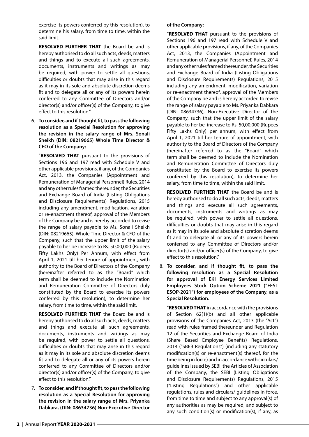exercise its powers conferred by this resolution), to determine his salary, from time to time, within the said limit.

 **RESOLVED FURTHER THAT** the Board be and is hereby authorised to do all such acts, deeds, matters and things and to execute all such agreements, documents, instruments and writings as may be required, with power to settle all questions, difficulties or doubts that may arise in this regard as it may in its sole and absolute discretion deems fit and to delegate all or any of its powers herein conferred to any Committee of Directors and/or director(s) and/or officer(s) of the Company, to give effect to this resolution."

6. **To consider, and if thought fit, to pass the following resolution as a Special Resolution for approving the revision in the salary range of Mrs. Sonali Sheikh (DIN: 08219665) Whole Time Director & CFO of the Company:** 

 "**RESOLVED THAT** pursuant to the provisions of Sections 196 and 197 read with Schedule V and other applicable provisions, if any, of the Companies Act, 2013, the Companies (Appointment and Remuneration of Managerial Personnel) Rules, 2014 and any other rules framed thereunder, the Securities and Exchange Board of India (Listing Obligations and Disclosure Requirements) Regulations, 2015 including any amendment, modification, variation or re-enactment thereof, approval of the Members of the Company be and is hereby accorded to revise the range of salary payable to Ms. Sonali Sheikh (DIN: 08219665), Whole Time Director & CFO of the Company, such that the upper limit of the salary payable to her be increase to Rs. 50,00,000 (Rupees Fifty Lakhs Only) Per Annum, with effect from April 1, 2021 till her tenure of appointment, with authority to the Board of Directors of the Company (hereinafter referred to as the "Board" which term shall be deemed to include the Nomination and Remuneration Committee of Directors duly constituted by the Board to exercise its powers conferred by this resolution), to determine her salary, from time to time, within the said limit.

 **RESOLVED FURTHER THAT** the Board be and is hereby authorised to do all such acts, deeds, matters and things and execute all such agreements, documents, instruments and writings as may be required, with power to settle all questions, difficulties or doubts that may arise in this regard as it may in its sole and absolute discretion deems fit and to delegate all or any of its powers herein conferred to any Committee of Directors and/or director(s) and/or officer(s) of the Company, to give effect to this resolution."

7. **To consider, and if thought fit, to pass the following resolution as a Special Resolution for approving the revision in the salary range of Mrs. Priyanka Dabkara, (DIN: 08634736) Non-Executive Director** 

### **of the Company:**

 "**RESOLVED THAT** pursuant to the provisions of Sections 196 and 197 read with Schedule V and other applicable provisions, if any, of the Companies Act, 2013, the Companies (Appointment and Remuneration of Managerial Personnel) Rules, 2014 and any other rules framed thereunder, the Securities and Exchange Board of India (Listing Obligations and Disclosure Requirements) Regulations, 2015 including any amendment, modification, variation or re-enactment thereof, approval of the Members of the Company be and is hereby accorded to revise the range of salary payable to Ms. Priyanka Dabkara (DIN: 08634736), Non-Executive Director of the Company, such that the upper limit of the salary payable to her be increase to Rs. 50,00,000 (Rupees Fifty Lakhs Only) per annum, with effect from April 1, 2021 till her tenure of appointment, with authority to the Board of Directors of the Company (hereinafter referred to as the "Board" which term shall be deemed to include the Nomination and Remuneration Committee of Directors duly constituted by the Board to exercise its powers conferred by this resolution), to determine her salary, from time to time, within the said limit.

 **RESOLVED FURTHER THAT** the Board be and is hereby authorised to do all such acts, deeds, matters and things and execute all such agreements, documents, instruments and writings as may be required, with power to settle all questions, difficulties or doubts that may arise in this regard as it may in its sole and absolute discretion deems fit and to delegate all or any of its powers herein conferred to any Committee of Directors and/or director(s) and/or officer(s) of the Company, to give effect to this resolution."

8. **To consider, and if thought fit, to pass the following resolution as a Special Resolution for approval of EKI Energy Services Limited Employees Stock Option Scheme 2021 ("EESL ESOP-2021") for employees of the Company, as a Special Resolution.**

 "**RESOLVED THAT** in accordance with the provisions of Section 62(1)(b) and all other applicable provisions of the Companies Act, 2013 (the "Act") read with rules framed thereunder and Regulation 12 of the Securities and Exchange Board of India (Share Based Employee Benefits) Regulations, 2014 ("SBEB Regulations") (including any statutory modification(s) or re-enactment(s) thereof, for the time being in force) and in accordance with circulars/ guidelines issued by SEBI, the Articles of Association of the Company, the SEBI (Listing Obligations and Disclosure Requirements) Regulations, 2015 ("Listing Regulations") and other applicable regulations, rules and circulars/ guidelines in force, from time to time and subject to any approval(s) of any authorities as may be required, and subject to any such condition(s) or modification(s), if any, as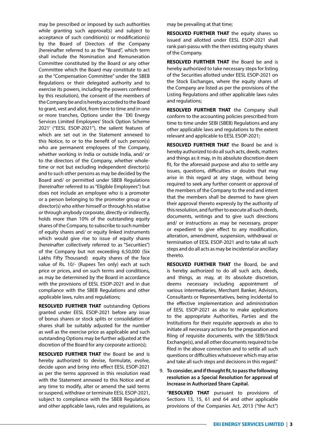may be prescribed or imposed by such authorities while granting such approval(s) and subject to acceptance of such condition(s) or modification(s) by the Board of Directors of the Company (hereinafter referred to as the "Board", which term shall include the Nomination and Remuneration Committee constituted by the Board or any other Committee which the Board may constitute to act as the "Compensation Committee" under the SBEB Regulations or their delegated authority and to exercise its powers, including the powers conferred by this resolution), the consent of the members of the Company be and is hereby accorded to the Board to grant, vest and allot, from time to time and in one or more tranches, Options under the `EKI Energy Services Limited Employees' Stock Option Scheme 2021' ("EESL ESOP-2021"), the salient features of which are set out in the Statement annexed to this Notice, to or to the benefit of such person(s) who are permanent employees of the Company, whether working in India or outside India, and/ or to the directors of the Company, whether wholetime or not but excluding independent director(s) and to such other persons as may be decided by the Board and/ or permitted under SBEB Regulations (hereinafter referred to as "Eligible Employees") but does not include an employee who is a promoter or a person belonging to the promoter group or a director(s) who either himself or through his relative or through anybody corporate, directly or indirectly, holds more than 10% of the outstanding equity shares of the Company, to subscribe to such number of equity shares and/ or equity linked instruments which would give rise to issue of equity shares (hereinafter collectively referred to as "Securities") of the Company but not exceeding 6,50,000 (Six Lakhs Fifty Thousand) equity shares of the face value of Rs. 10/- (Rupees Ten only) each at such price or prices, and on such terms and conditions, as may be determined by the Board in accordance with the provisions of EESL ESOP-2021 and in due compliance with the SBEB Regulations and other applicable laws, rules and regulations;

 **RESOLVED FURTHER THAT** outstanding Options granted under EESL ESOP-2021 before any issue of bonus shares or stock splits or consolidation of shares shall be suitably adjusted for the number as well as the exercise price as applicable and such outstanding Options may be further adjusted at the discretion of the Board for any corporate action(s);

 **RESOLVED FURTHER THAT** the Board be and is hereby authorized to devise, formulate, evolve, decide upon and bring into effect EESL ESOP-2021 as per the terms approved in this resolution read with the Statement annexed to this Notice and at any time to modify, alter or amend the said terms or suspend, withdraw or terminate EESL ESOP-2021, subject to compliance with the SBEB Regulations and other applicable laws, rules and regulations, as

may be prevailing at that time;

**RESOLVED FURTHER THAT** the equity shares so issued and allotted under EESL ESOP-2021 shall rank pari-passu with the then existing equity shares of the Company.

 **RESOLVED FURTHER THAT** the Board be and is hereby authorized to take necessary steps for listing of the Securities allotted under EESL ESOP-2021 on the Stock Exchanges, where the equity shares of the Company are listed as per the provisions of the Listing Regulations and other applicable laws rules and regulations;

 **RESOLVED FURTHER THAT** the Company shall conform to the accounting policies prescribed from time to time under SEBI (SBEB) Regulations and any other applicable laws and regulations to the extent relevant and applicable to EESL ESOP-2021;

 **RESOLVED FURTHER THAT** the Board be and is hereby authorized to do all such acts, deeds, matters and things as it may, in its absolute discretion deem fit, for the aforesaid purpose and also to settle any issues, questions, difficulties or doubts that may arise in this regard at any stage, without being required to seek any further consent or approval of the members of the Company to the end and intent that the members shall be deemed to have given their approval thereto expressly by the authority of this resolution, and further to execute all such deeds, documents, writings and to give such directions and/ or instructions as may be necessary, proper or expedient to give effect to any modification, alteration, amendment, suspension, withdrawal or termination of EESL ESOP-2021 and to take all such steps and do all acts as may be incidental or ancillary thereto.

 **RESOLVED FURTHER THAT** the Board, be and is hereby authorized to do all such acts, deeds, and things, as may, at its absolute discretion, deems necessary including appointment of various intermediaries, Merchant Banker, Advisors, Consultants or Representatives, being incidental to the effective implementation and administration of EESL ESOP-2021 as also to make applications to the appropriate Authorities, Parties and the Institutions for their requisite approvals as also to initiate all necessary actions for the preparation and filing of requisite documents, with the SEBI/Stock Exchange(s), and all other documents required to be filed in the above connection and to settle all such questions or difficulties whatsoever which may arise and take all such steps and decisions in this regard."

9. **To consider, and if thought fit, to pass the following resolution as a Special Resolution for approval of Increase in Authorized Share Capital.**

 "**RESOLVED THAT** pursuant to provisions of Sections 13, 15, 61 and 64 and other applicable provisions of the Companies Act, 2013 ("the Act")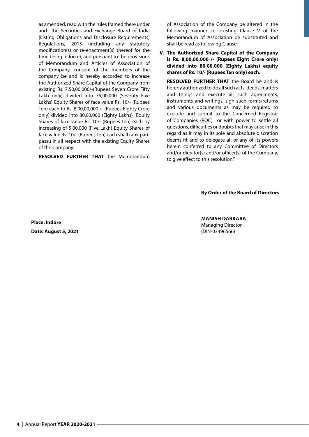as amended, read with the rules framed there under and the Securities and Exchange Board of India (Listing Obligations and Disclosure Requirements) Regulations, 2015 (including any statutory modification(s) or re-enactment(s) thereof for the time being in force), and pursuant to the provisions of Memorandum and Articles of Association of the Company, consent of the members of the company be and is hereby accorded to increase the Authorized Share Capital of the Company from existing Rs. 7,50,00,000/-(Rupees Seven Crore Fifty Lakh only) divided into 75,00,000 (Seventy Five Lakhs) Equity Shares of face value Rs. 10/- (Rupees Ten) each to Rs. 8,00,00,000 /- (Rupees Eighty Crore only) divided into 80,00,000 (Eighty Lakhs) Equity Shares of face value Rs. 10/- (Rupees Ten) each by increasing of 5,00,000 (Five Lakh) Equity Shares of face value Rs. 10/- (Rupees Ten) each shall rank paripassu in all respect with the existing Equity Shares of the Company.

**RESOLVED FURTHER THAT** the Memorandum

of Association of the Company be altered in the following manner i.e. existing Clause V of the Memorandum of Association be substituted and shall be read as following Clause:

**V. The Authorized Share Capital of the Company is Rs. 8,00,00,000 /- (Rupees Eight Crore only) divided into 80,00,000 (Eighty Lakhs) equity shares of Rs. 10/- (Rupees Ten only) each.**

 **RESOLVED FURTHER THAT** the Board be and is hereby authorized to do all such acts, deeds, matters and things and execute all such agreements, instruments and writings, sign such forms/returns and various documents as may be required to execute and submit to the Concerned Registrar of Companies (ROC) or with power to settle all questions, difficulties or doubts that may arise in this regard as it may in its sole and absolute discretion deems fit and to delegate all or any of its powers herein conferred to any Committee of Directors and/or director(s) and/or officer(s) of the Company, to give effect to this resolution."

**By Order of the Board of Directors**

**Place: Indore Date: August 5, 2021**

**MANISH DABKARA** Managing Director (DIN-03496566)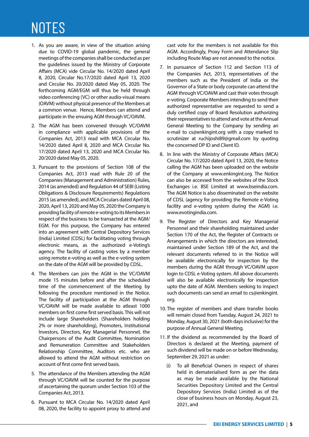# NOTES

- 1. As you are aware, in view of the situation arising due to COVID-19 global pandemic, the general meetings of the companies shall be conducted as per the guidelines issued by the Ministry of Corporate Affairs (MCA) vide Circular No. 14/2020 dated April 8, 2020, Circular No.17/2020 dated April 13, 2020 and Circular No. 20/2020 dated May 05, 2020. The forthcoming AGM/EGM will thus be held through video conferencing (VC) or other audio-visual means (OAVM) without physical presence of the Members at a common venue. Hence, Members can attend and participate in the ensuing AGM through VC/OAVM.
- 2. The AGM has been convened through VC/OAVM in compliance with applicable provisions of the Companies Act, 2013 read with MCA Circular No. 14/2020 dated April 8, 2020 and MCA Circular No. 17/2020 dated April 13, 2020 and MCA Circular No. 20/2020 dated May 05, 2020.
- 3. Pursuant to the provisions of Section 108 of the Companies Act, 2013 read with Rule 20 of the Companies (Management and Administration) Rules, 2014 (as amended) and Regulation 44 of SEBI (Listing Obligations & Disclosure Requirements) Regulations 2015 (as amended), and MCA Circulars dated April 08, 2020, April 13, 2020 and May 05, 2020 the Company is providing facility of remote e-voting to its Members in respect of the business to be transacted at the AGM/ EGM. For this purpose, the Company has entered into an agreement with Central Depository Services (India) Limited (CDSL) for facilitating voting through electronic means, as the authorized e-Voting's agency. The facility of casting votes by a member using remote e-voting as well as the e-voting system on the date of the AGM will be provided by CDSL.
- 4. The Members can join the AGM in the VC/OAVM mode 15 minutes before and after the scheduled time of the commencement of the Meeting by following the procedure mentioned in the Notice. The facility of participation at the AGM through VC/OAVM will be made available to atleast 1000 members on first come first served basis. This will not include large Shareholders (Shareholders holding 2% or more shareholding), Promoters, Institutional Investors, Directors, Key Managerial Personnel, the Chairpersons of the Audit Committee, Nomination and Remuneration Committee and Stakeholders Relationship Committee, Auditors etc. who are allowed to attend the AGM without restriction on account of first come first served basis.
- 5. The attendance of the Members attending the AGM through VC/OAVM will be counted for the purpose of ascertaining the quorum under Section 103 of the Companies Act, 2013.
- 6. Pursuant to MCA Circular No. 14/2020 dated April 08, 2020, the facility to appoint proxy to attend and

cast vote for the members is not available for this AGM. Accordingly, Proxy Form and Attendance Slip including Route Map are not annexed to the notice.

- 7. In pursuance of Section 112 and Section 113 of the Companies Act, 2013, representatives of the members such as the President of India or the Governor of a State or body corporate can attend the AGM through VC/OAVM and cast their votes through e-voting. Corporate Members intending to send their authorized representative are requested to send a duly certified copy of Board Resolution authorizing their representatives to attend and vote at the Annual General Meeting to the Company by sending an e-mail to cs@enkingint.org with a copy marked to scrutinizer at ruchijoshi89@gmail.com by quoting the concerned DP ID and Client ID.
- 8. In line with the Ministry of Corporate Affairs (MCA) Circular No. 17/2020 dated April 13, 2020, the Notice calling the AGM has been uploaded on the website of the Company at www.enkingint.org. The Notice can also be accessed from the websites of the Stock Exchanges i.e. BSE Limited at www.bseindia.com. The AGM Notice is also disseminated on the website of CDSL (agency for providing the Remote e-Voting facility and e-voting system during the AGM) i.e. www.evotingindia.com.
- 9. The Register of Directors and Key Managerial Personnel and their shareholding maintained under Section 170 of the Act, the Register of Contracts or Arrangements in which the directors are interested, maintained under Section 189 of the Act, and the relevant documents referred to in the Notice will be available electronically for inspection by the members during the AGM through VC/OAVM upon login to CDSL e-Voting system. All above documents will also be available electronically for inspection upto the date of AGM. Members seeking to inspect such documents can send an email to cs@enkingint. org.
- 10. The register of members and share transfer books will remain closed from Tuesday, August 24, 2021 to Monday, August 30, 2021 (both days inclusive) for the purpose of Annual General Meeting.
- 11. If the dividend as recommended by the Board of Directors is declared at the Meeting, payment of such dividend will be made on or before Wednesday, September 29, 2021 as under:
	- (i) To all Beneficial Owners in respect of shares held in dematerialised form as per the data as may be made available by the National Securities Depository Limited and the Central Depository Services (India) Limited as of the close of business hours on Monday, August 23, 2021, and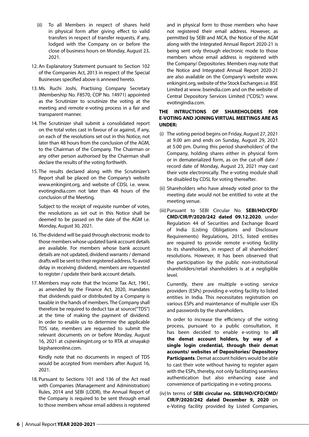- (ii) To all Members in respect of shares held in physical form after giving effect to valid transfers in respect of transfer requests, if any, lodged with the Company on or before the close of business hours on Monday, August 23, 2021.
- 12. An Explanatory Statement pursuant to Section 102 of the Companies Act, 2013 in respect of the Special Businesses specified above is annexed hereto.
- 13. Ms. Ruchi Joshi, Practising Company Secretary (Membership No. F8570, COP No. 14971) appointed as the Scrutinizer to scrutinize the voting at the meeting and remote e-voting process in a fair and transparent manner.
- 14. The Scrutinizer shall submit a consolidated report on the total votes cast in favour of or against, if any, on each of the resolutions set out in this Notice, not later than 48 hours from the conclusion of the AGM, to the Chairman of the Company. The Chairman or any other person authorised by the Chairman shall declare the results of the voting forthwith.
- 15. The results declared along with the Scrutinizer's Report shall be placed on the Company's website www.enkingint.org, and website of CDSL i.e. www. evotingindia.com not later than 48 hours of the conclusion of the Meeting.

 Subject to the receipt of requisite number of votes, the resolutions as set out in this Notice shall be deemed to be passed on the date of the AGM i.e. Monday, August 30, 2021.

- 16. The dividend will be paid through electronic mode to those members whose updated bank account details are available. For members whose bank account details are not updated, dividend warrants / demand drafts will be sent to their registered address. To avoid delay in receiving dividend, members are requested to register / update their bank account details.
- 17. Members may note that the Income Tax Act, 1961, as amended by the Finance Act, 2020, mandates that dividends paid or distributed by a Company is taxable in the hands of members. The Company shall therefore be required to deduct tax at source("TDS") at the time of making the payment of dividend. In order to enable us to determine the applicable TDS rate, members are requested to submit the relevant documents on or before Monday, August 16, 2021 at cs@enkingint.org or to RTA at vinayak@ bigshareonline.com.

 Kindly note that no documents in respect of TDS would be accepted from members after August 16, 2021.

18. Pursuant to Sections 101 and 136 of the Act read with Companies (Management and Administration) Rules, 2014 and SEBI (LODR), the Annual Report of the Company is required to be sent through email to those members whose email address is registered

and in physical form to those members who have not registered their email address. However, as permitted by SEBI and MCA, the Notice of the AGM along with the Integrated Annual Report 2020-21 is being sent only through electronic mode to those members whose email address is registered with the Company/ Depositories. Members may note that the Notice and Integrated Annual Report 2020-21 are also available on the Company's website www. enkingint.org, website of the Stock Exchanges i.e. BSE Limited at www. bseindia.com and on the website of Central Depository Services Limited ("CDSL") www. evotingindia.com.

#### **THE INTRUCTIONS OF SHAREHOLDERS FOR E-VOTING AND JOINING VIRTUAL MEETINGS ARE AS UNDER:**

- (i) The voting period begins on Friday, August 27, 2021 at 9.00 am and ends on Sunday, August 29, 2021 at 5.00 pm. During this period shareholders' of the Company, holding shares either in physical form or in dematerialized form, as on the cut-off date / record date of Monday, August 23, 2021 may cast their vote electronically. The e-voting module shall be disabled by CDSL for voting thereafter.
- (ii) Shareholders who have already voted prior to the meeting date would not be entitled to vote at the meeting venue.
- (iii) Pursuant to SEBI Circular No. **SEBI/HO/CFD/ CMD/CIR/P/2020/242 dated 09.12.2020**, under Regulation 44 of Securities and Exchange Board of India (Listing Obligations and Disclosure Requirements) Regulations, 2015, listed entities are required to provide remote e-voting facility to its shareholders, in respect of all shareholders' resolutions. However, it has been observed that the participation by the public non-institutional shareholders/retail shareholders is at a negligible level.

 Currently, there are multiple e-voting service providers (ESPs) providing e-voting facility to listed entities in India. This necessitates registration on various ESPs and maintenance of multiple user IDs and passwords by the shareholders.

 In order to increase the efficiency of the voting process, pursuant to a public consultation, it has been decided to enable e-voting to **all the demat account holders, by way of a single login credential, through their demat accounts/ websites of Depositories/ Depository Participants**. Demat account holders would be able to cast their vote without having to register again with the ESPs, thereby, not only facilitating seamless authentication but also enhancing ease and convenience of participating in e-voting process.

(iv) In terms of **SEBI circular no. SEBI/HO/CFD/CMD/ CIR/P/2020/242 dated December 9, 2020** on e-Voting facility provided by Listed Companies,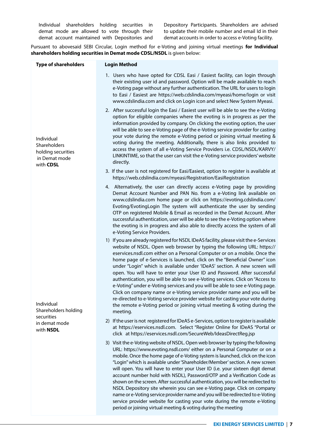Individual shareholders holding securities in demat mode are allowed to vote through their demat account maintained with Depositories and Depository Participants. Shareholders are advised to update their mobile number and email Id in their demat accounts in order to access e-Voting facility.

Pursuant to abovesaid SEBI Circular, Login method for e-Voting and joining virtual meetings **for Individual shareholders holding securities in Demat mode CDSL/NSDL** is given below:

| <b>Type of shareholders</b>                                                    | <b>Login Method</b>                                                                                                                                                                                                                                                                                                                                                                                                                                                                                                                                                                                                                                                                                                                                                                                                                                                                                        |
|--------------------------------------------------------------------------------|------------------------------------------------------------------------------------------------------------------------------------------------------------------------------------------------------------------------------------------------------------------------------------------------------------------------------------------------------------------------------------------------------------------------------------------------------------------------------------------------------------------------------------------------------------------------------------------------------------------------------------------------------------------------------------------------------------------------------------------------------------------------------------------------------------------------------------------------------------------------------------------------------------|
|                                                                                | 1. Users who have opted for CDSL Easi / Easiest facility, can login through<br>their existing user id and password. Option will be made available to reach<br>e-Voting page without any further authentication. The URL for users to login<br>to Easi / Easiest are https://web.cdslindia.com/myeasi/home/login or visit<br>www.cdslindia.com and click on Login icon and select New System Myeasi.                                                                                                                                                                                                                                                                                                                                                                                                                                                                                                        |
| Individual<br>Shareholders<br>holding securities<br>in Demat mode<br>with CDSL | 2. After successful login the Easi / Easiest user will be able to see the e-Voting<br>option for eligible companies where the evoting is in progress as per the<br>information provided by company. On clicking the evoting option, the user<br>will be able to see e-Voting page of the e-Voting service provider for casting<br>your vote during the remote e-Voting period or joining virtual meeting &<br>voting during the meeting. Additionally, there is also links provided to<br>access the system of all e-Voting Service Providers i.e. CDSL/NSDL/KARVY/<br>LINKINTIME, so that the user can visit the e-Voting service providers' website<br>directly.                                                                                                                                                                                                                                         |
|                                                                                | 3. If the user is not registered for Easi/Easiest, option to register is available at<br>https://web.cdslindia.com/myeasi/Registration/EasiRegistration                                                                                                                                                                                                                                                                                                                                                                                                                                                                                                                                                                                                                                                                                                                                                    |
|                                                                                | 4. Alternatively, the user can directly access e-Voting page by providing<br>Demat Account Number and PAN No. from a e-Voting link available on<br>www.cdslindia.com home page or click on https://evoting.cdslindia.com/<br>Evoting/EvotingLogin The system will authenticate the user by sending<br>OTP on registered Mobile & Email as recorded in the Demat Account. After<br>successful authentication, user will be able to see the e-Voting option where<br>the evoting is in progress and also able to directly access the system of all<br>e-Voting Service Providers.                                                                                                                                                                                                                                                                                                                            |
| Individual<br>Shareholders holding                                             | 1) If you are already registered for NSDL IDeAS facility, please visit the e-Services<br>website of NSDL. Open web browser by typing the following URL: https://<br>eservices.nsdl.com either on a Personal Computer or on a mobile. Once the<br>home page of e-Services is launched, click on the "Beneficial Owner" icon<br>under "Login" which is available under 'IDeAS' section. A new screen will<br>open. You will have to enter your User ID and Password. After successful<br>authentication, you will be able to see e-Voting services. Click on "Access to<br>e-Voting" under e-Voting services and you will be able to see e-Voting page.<br>Click on company name or e-Voting service provider name and you will be<br>re-directed to e-Voting service provider website for casting your vote during<br>the remote e-Voting period or joining virtual meeting & voting during the<br>meeting. |
| securities<br>in demat mode<br>with NSDL                                       | 2) If the user is not registered for IDeAS e-Services, option to register is available<br>at https://eservices.nsdl.com. Select "Register Online for IDeAS "Portal or<br>click at https://eservices.nsdl.com/SecureWeb/IdeasDirectReg.jsp                                                                                                                                                                                                                                                                                                                                                                                                                                                                                                                                                                                                                                                                  |
|                                                                                | 3) Visit the e-Voting website of NSDL. Open web browser by typing the following<br>URL: https://www.evoting.nsdl.com/ either on a Personal Computer or on a<br>mobile. Once the home page of e-Voting system is launched, click on the icon<br>"Login" which is available under 'Shareholder/Member' section. A new screen<br>will open. You will have to enter your User ID (i.e. your sixteen digit demat<br>account number hold with NSDL), Password/OTP and a Verification Code as<br>shown on the screen. After successful authentication, you will be redirected to<br>NSDL Depository site wherein you can see e-Voting page. Click on company<br>name or e-Voting service provider name and you will be redirected to e-Voting<br>service provider website for casting your vote during the remote e-Voting<br>period or joining virtual meeting & voting during the meeting                       |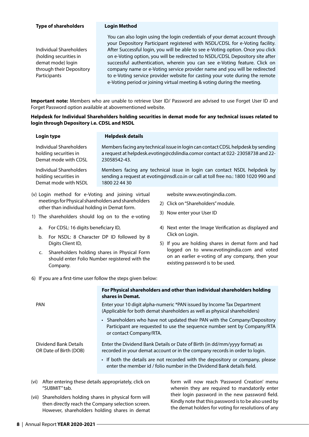#### **Type of shareholders Login Method**

Individual Shareholders (holding securities in demat mode) login through their Depository **Participants** 

 You can also login using the login credentials of your demat account through your Depository Participant registered with NSDL/CDSL for e-Voting facility. After Successful login, you will be able to see e-Voting option. Once you click on e-Voting option, you will be redirected to NSDL/CDSL Depository site after successful authentication, wherein you can see e-Voting feature. Click on company name or e-Voting service provider name and you will be redirected to e-Voting service provider website for casting your vote during the remote e-Voting period or joining virtual meeting & voting during the meeting.

**Important note:** Members who are unable to retrieve User ID/ Password are advised to use Forget User ID and Forget Password option available at abovementioned website.

#### **Helpdesk for Individual Shareholders holding securities in demat mode for any technical issues related to login through Depository i.e. CDSL and NSDL**

| Login type              | <b>Helpdesk details</b>                                                             |
|-------------------------|-------------------------------------------------------------------------------------|
| Individual Shareholders | Members facing any technical issue in login can contact CDSL helpdesk by sending    |
| holding securities in   | a request at helpdesk.evoting@cdslindia.comor contact at 022-23058738 and 22-       |
| Demat mode with CDSL    | 23058542-43.                                                                        |
| Individual Shareholders | Members facing any technical issue in login can contact NSDL helpdesk by            |
| holding securities in   | sending a request at evoting@nsdl.co.in or call at toll free no.: 1800 1020 990 and |
| Demat mode with NSDL    | 1800 22 44 30                                                                       |

(v) Login method for e-Voting and joining virtual meetings for Physical shareholders and shareholders other than individual holding in Demat form.

website www.evotingindia.com.

- 2) Click on "Shareholders" module.
- 3) Now enter your User ID
- 1) The shareholders should log on to the e-voting
	- a. For CDSL: 16 digits beneficiary ID,
	- b. For NSDL: 8 Character DP ID followed by 8 Digits Client ID,
	- c. Shareholders holding shares in Physical Form should enter Folio Number registered with the Company.
- 4) Next enter the Image Verification as displayed and Click on Login.
- 5) If you are holding shares in demat form and had logged on to www.evotingindia.com and voted on an earlier e-voting of any company, then your existing password is to be used.
- 6) If you are a first-time user follow the steps given below:

|                                                          | For Physical shareholders and other than individual shareholders holding<br>shares in Demat.                                                                                     |
|----------------------------------------------------------|----------------------------------------------------------------------------------------------------------------------------------------------------------------------------------|
| <b>PAN</b>                                               | Enter your 10 digit alpha-numeric *PAN issued by Income Tax Department<br>(Applicable for both demat shareholders as well as physical shareholders)                              |
|                                                          | • Shareholders who have not updated their PAN with the Company/Depository<br>Participant are requested to use the sequence number sent by Company/RTA<br>or contact Company/RTA. |
| Dividend Bank Details<br>OR Date of Birth (DOB)          | Enter the Dividend Bank Details or Date of Birth (in dd/mm/yyyy format) as<br>recorded in your demat account or in the company records in order to login.                        |
|                                                          | • If both the details are not recorded with the depository or company, please<br>enter the member id / folio number in the Dividend Bank details field.                          |
| vi) After entering these details appropriately, click on | form will now reach 'Password Creation' menu                                                                                                                                     |

- (vi) After entering these details appropriately, click on "SUBMIT" tab.
- (vii) Shareholders holding shares in physical form will then directly reach the Company selection screen. However, shareholders holding shares in demat

form will now reach 'Password Creation' m wherein they are required to mandatorily enter their login password in the new password field. Kindly note that this password is to be also used by the demat holders for voting for resolutions of any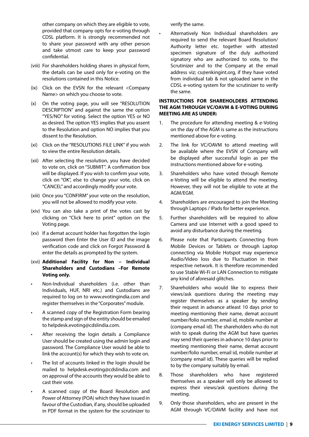other company on which they are eligible to vote, provided that company opts for e-voting through CDSL platform. It is strongly recommended not to share your password with any other person and take utmost care to keep your password confidential.

- (viii) For shareholders holding shares in physical form, the details can be used only for e-voting on the resolutions contained in this Notice.
- (ix) Click on the EVSN for the relevant <Company Name> on which you choose to vote.
- (x) On the voting page, you will see "RESOLUTION DESCRIPTION" and against the same the option "YES/NO" for voting. Select the option YES or NO as desired. The option YES implies that you assent to the Resolution and option NO implies that you dissent to the Resolution.
- (xi) Click on the "RESOLUTIONS FILE LINK" if you wish to view the entire Resolution details.
- (xii) After selecting the resolution, you have decided to vote on, click on "SUBMIT". A confirmation box will be displayed. If you wish to confirm your vote, click on "OK", else to change your vote, click on "CANCEL" and accordingly modify your vote.
- (xiii) Once you "CONFIRM" your vote on the resolution, you will not be allowed to modify your vote.
- (xiv) You can also take a print of the votes cast by clicking on "Click here to print" option on the Voting page.
- (xv) If a demat account holder has forgotten the login password then Enter the User ID and the image verification code and click on Forgot Password & enter the details as prompted by the system.

#### (xvi) **Additional Facility for Non – Individual Shareholders and Custodians –For Remote Voting only.**

- Non-Individual shareholders (i.e. other than Individuals, HUF, NRI etc.) and Custodians are required to log on to www.evotingindia.com and register themselves in the "Corporates" module.
- A scanned copy of the Registration Form bearing the stamp and sign of the entity should be emailed to helpdesk.evoting@cdslindia.com.
- After receiving the login details a Compliance User should be created using the admin login and password. The Compliance User would be able to link the account(s) for which they wish to vote on.
- The list of accounts linked in the login should be mailed to helpdesk.evoting@cdslindia.com and on approval of the accounts they would be able to cast their vote.
- A scanned copy of the Board Resolution and Power of Attorney (POA) which they have issued in favour of the Custodian, if any, should be uploaded in PDF format in the system for the scrutinizer to

verify the same.

• Alternatively Non Individual shareholders are required to send the relevant Board Resolution/ Authority letter etc. together with attested specimen signature of the duly authorized signatory who are authorized to vote, to the Scrutinizer and to the Company at the email address viz; cs@enkingint.org, if they have voted from individual tab & not uploaded same in the CDSL e-voting system for the scrutinizer to verify the same.

#### **INSTRUCTIONS FOR SHAREHOLDERS ATTENDING THE AGM THROUGH VC/OAVM & E-VOTING DURING MEETING ARE AS UNDER:**

- 1. The procedure for attending meeting & e-Voting on the day of the AGM is same as the instructions mentioned above for e-voting.
- 2. The link for VC/OAVM to attend meeting will be available where the EVSN of Company will be displayed after successful login as per the instructions mentioned above for e-voting.
- 3. Shareholders who have voted through Remote e-Voting will be eligible to attend the meeting. However, they will not be eligible to vote at the AGM/EGM.
- 4. Shareholders are encouraged to join the Meeting through Laptops / IPads for better experience.
- 5. Further shareholders will be required to allow Camera and use Internet with a good speed to avoid any disturbance during the meeting.
- 6. Please note that Participants Connecting from Mobile Devices or Tablets or through Laptop connecting via Mobile Hotspot may experience Audio/Video loss due to Fluctuation in their respective network. It is therefore recommended to use Stable Wi-Fi or LAN Connection to mitigate any kind of aforesaid glitches.
- 7. Shareholders who would like to express their views/ask questions during the meeting may register themselves as a speaker by sending their request in advance atleast 10 days prior to meeting mentioning their name, demat account number/folio number, email id, mobile number at (company email id). The shareholders who do not wish to speak during the AGM but have queries may send their queries in advance 10 days prior to meeting mentioning their name, demat account number/folio number, email id, mobile number at (company email id). These queries will be replied to by the company suitably by email.
- 8. Those shareholders who have registered themselves as a speaker will only be allowed to express their views/ask questions during the meeting.
- 9. Only those shareholders, who are present in the AGM through VC/OAVM facility and have not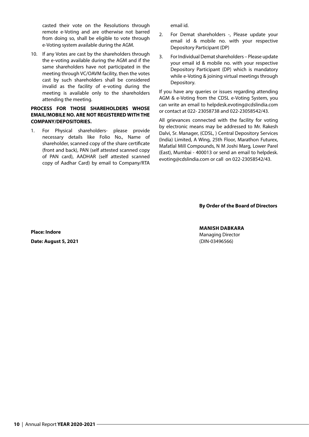casted their vote on the Resolutions through remote e-Voting and are otherwise not barred from doing so, shall be eligible to vote through e-Voting system available during the AGM.

10. If any Votes are cast by the shareholders through the e-voting available during the AGM and if the same shareholders have not participated in the meeting through VC/OAVM facility, then the votes cast by such shareholders shall be considered invalid as the facility of e-voting during the meeting is available only to the shareholders attending the meeting.

#### **PROCESS FOR THOSE SHAREHOLDERS WHOSE EMAIL/MOBILE NO. ARE NOT REGISTERED WITH THE COMPANY/DEPOSITORIES.**

1. For Physical shareholders- please provide necessary details like Folio No., Name of shareholder, scanned copy of the share certificate (front and back), PAN (self attested scanned copy of PAN card), AADHAR (self attested scanned copy of Aadhar Card) by email to Company/RTA

email id.

- 2. For Demat shareholders -, Please update your email id & mobile no. with your respective Depository Participant (DP)
- 3. For Individual Demat shareholders Please update your email id & mobile no. with your respective Depository Participant (DP) which is mandatory while e-Voting & joining virtual meetings through Depository.

If you have any queries or issues regarding attending AGM & e-Voting from the CDSL e-Voting System, you can write an email to helpdesk.evoting@cdslindia.com or contact at 022- 23058738 and 022-23058542/43.

All grievances connected with the facility for voting by electronic means may be addressed to Mr. Rakesh Dalvi, Sr. Manager, (CDSL, ) Central Depository Services (India) Limited, A Wing, 25th Floor, Marathon Futurex, Mafatlal Mill Compounds, N M Joshi Marg, Lower Parel (East), Mumbai - 400013 or send an email to helpdesk. evoting@cdslindia.com or call on 022-23058542/43.

#### **By Order of the Board of Directors**

#### **MANISH DABKARA**

Managing Director (DIN-03496566)

**Place: Indore Date: August 5, 2021**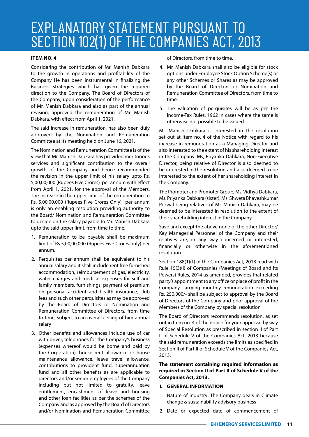### EXPLANATORY STATEMENT PURSUANT TO SECTION 102(1) OF THE COMPANIES ACT, 2013

#### **ITEM NO. 4**

Considering the contribution of Mr. Manish Dabkara to the growth in operations and profitability of the Company He has been instrumental in finalizing the Business strategies which has given the required direction to the Company. The Board of Directors of the Company, upon consideration of the performance of Mr. Manish Dabkara and also as part of the annual revision, approved the remuneration of Mr. Manish Dabkara, with effect from April 1, 2021.

The said increase in remuneration, has also been duly approved by the Nomination and Remuneration Committee at its meeting held on June 16, 2021.

The Nomination and Remuneration Committee is of the view that Mr. Manish Dabkara has provided meritorious services and significant contribution to the overall growth of the Company and hence recommended the revision in the upper limit of his salary upto Rs. 5,00,00,000 (Rupees Five Crores) per annum with effect from April 1, 2021, for the approval of the Members. The increase in the upper limit of the remuneration to Rs. 5,00,00,000 (Rupees Five Crores Only) per annum is only an enabling resolution providing authority to the Board/ Nomination and Remuneration Committee to decide on the salary payable to Mr. Manish Dabkara upto the said upper limit, from time to time.

- 1. Remuneration to be payable shall be maximum limit of Rs 5,00,00,000 (Rupees Five Crores only) per annum.
- 2. Perquisites per annum shall be equivalent to his annual salary and it shall include rent free furnished accommodation, reimbursement of gas, electricity, water charges and medical expenses for self and family members, furnishings, payment of premium on personal accident and health insurance, club fees and such other perquisites as may be approved by the Board of Directors or Nomination and Remuneration Committee of Directors, from time to time, subject to an overall ceiling of him annual salary
- 3. Other benefits and allowances include use of car with driver, telephones for the Company's business (expenses whereof would be borne and paid by the Corporation), house rent allowance or house maintenance allowance, leave travel allowance, contributions to provident fund, superannuation fund and all other benefits as are applicable to directors and/or senior employees of the Company including but not limited to gratuity, leave entitlement, encashment of leave and housing and other loan facilities as per the schemes of the Company and as approved by the Board of Directors and/or Nomination and Remuneration Committee

of Directors, from time to time.

- 4. Mr. Manish Dabkara shall also be eligible for stock options under Employee Stock Option Scheme(s) or any other Schemes or Shares as may be approved by the Board of Directors or Nomination and Remuneration Committee of Directors, from time to time.
- 5. The valuation of perquisites will be as per the Income-Tax Rules, 1962 in cases where the same is otherwise not possible to be valued.

Mr. Manish Dabkara is interested in the resolution set out at Item no. 4 of the Notice with regard to his increase in remuneration as a Managing Director and also interested to the extent of his shareholding interest in the Company. Ms, Priyanka Dabkara, Non-Executive Director, being relative of Director is also deemed to be interested in the resolution and also deemed to be interested to the extent of her shareholding interest in the Company.

The Promoter and Promoter Group, Ms. Vidhya Dabkara, Ms. Priyanka Dabkara (sister), Ms. Shweta Bhaveshkumar Porwal being relatives of Mr. Manish Dabkara, may be deemed to be interested in resolution to the extent of their shareholding interest in the Company.

Save and except the above none of the other Director/ Key Managerial Personnel of the Company and their relatives are, in any way concerned or interested, financially or otherwise in the aforementioned resolution.

Section 188(1)(f) of the Companies Act, 2013 read with Rule 15(3)(i) of Companies (Meetings of Board and its Powers) Rules, 2014 as amended, provides that related party's appointment to any office or place of profit in the Company carrying monthly remuneration exceeding Rs. 250,000/- shall be subject to approval by the Board of Directors of the Company and prior approval of the Members of the Company by special resolution

The Board of Directors recommends resolution, as set out in Item no. 4 of the notice for your approval by way of Special Resolution as prescribed in section II of Part II of Schedule V of the Companies Act, 2013 because the said remuneration exceeds the limits as specified in Section II of Part II of Schedule V of the Companies Act, 2013.

**The statement containing required information as required in Section II of Part II of Schedule V of the Companies Act, 2013.**

#### **I. GENERAL INFORMATION**

- 1. Nature of Industry: The Company deals in Climate change & sustainability advisory business
- 2. Date or expected date of commencement of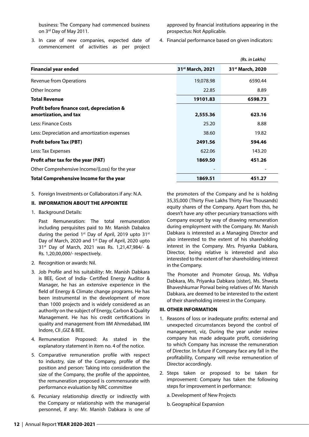business: The Company had commenced business on 3rd Day of May 2011.

3. In case of new companies, expected date of commencement of activities as per project approved by financial institutions appearing in the prospectus: Not Applicable.

4. Financial performance based on given indicators:

|                                                                     |                              | (Rs. in Lakhs)               |
|---------------------------------------------------------------------|------------------------------|------------------------------|
| <b>Financial year ended</b>                                         | 31 <sup>st</sup> March, 2021 | 31 <sup>st</sup> March, 2020 |
| <b>Revenue from Operations</b>                                      | 19,078.98                    | 6590.44                      |
| Other Income                                                        | 22.85                        | 8.89                         |
| <b>Total Revenue</b>                                                | 19101.83                     | 6598.73                      |
| Profit before finance cost, depreciation &<br>amortization, and tax | 2,555.36                     | 623.16                       |
| Less: Finance Costs                                                 | 25.20                        | 8.88                         |
| Less: Depreciation and amortization expenses                        | 38.60                        | 19.82                        |
| <b>Profit before Tax (PBT)</b>                                      | 2491.56                      | 594.46                       |
| Less: Tax Expenses                                                  | 622.06                       | 143.20                       |
| Profit after tax for the year (PAT)                                 | 1869.50                      | 451.26                       |
| Other Comprehensive Income/(Loss) for the year                      |                              |                              |
| <b>Total Comprehensive Income for the year</b>                      | 1869.51                      | 451.27                       |

5. Foreign Investments or Collaborators if any: N.A.

#### **II. INFORMATION ABOUT THE APPOINTEE**

1. Background Details:

 Past Remuneration: The total remuneration including perquisites paid to Mr. Manish Dabakra during the period  $1^{st}$  Day of April, 2019 upto 31st Day of March, 2020 and 1<sup>st</sup> Day of April, 2020 upto 31st Day of March, 2021 was Rs. 1,21,47,984/- & Rs. 1,20,00,000/- respectively.

- 2. Recognition or awards: Nil.
- 3. Job Profile and his suitability: Mr. Manish Dabkara is BEE, Govt of India- Certified Energy Auditor & Manager, he has an extensive experience in the field of Energy & Climate change programs. He has been instrumental in the development of more than 1000 projects and is widely considered as an authority on the subject of Energy, Carbon & Quality Management. He has his credit certifications in quality and management from IIM Ahmedabad, IIM Indore, CII ,GIZ & BEE.
- 4. Remuneration Proposed: As stated in the explanatory statement in item no. 4 of the notice.
- 5. Comparative remuneration profile with respect to industry, size of the Company, profile of the position and person: Taking into consideration the size of the Company, the profile of the appointee, the remuneration proposed is commensurate with performance evaluation by NRC committee
- 6. Pecuniary relationship directly or indirectly with the Company or relationship with the managerial personnel, if any: Mr. Manish Dabkara is one of

the promoters of the Company and he is holding 35,35,000 (Thirty Five Lakhs Thirty Five Thousands) equity shares of the Company. Apart from this, he doesn't have any other pecuniary transactions with Company except by way of drawing remuneration during employment with the Company. Mr. Manish Dabkara is interested as a Managing Director and also interested to the extent of his shareholding interest in the Company. Mrs. Priyanka Dabkara, Director, being relative is interested and also interested to the extent of her shareholding interest in the Company.

 The Promoter and Promoter Group, Ms. Vidhya Dabkara, Ms. Priyanka Dabkara (sister), Ms. Shweta Bhaveshkumar Porwal being relatives of Mr. Manish Dabkara, are deemed to be interested to the extent of their shareholding interest in the Company.

#### **III. OTHER INFORMATION**

- 1. Reasons of loss or inadequate profits: external and unexpected circumstances beyond the control of management, viz, During the year under review company has made adequate profit, considering to which Company has increase the remuneration of Director. In future if Company face any fall in the profitability, Company will revise remuneration of Director accordingly.
- 2. Steps taken or proposed to be taken for improvement: Company has taken the following steps for improvement in performance:
	- a. Development of New Projects
	- b. Geographical Expansion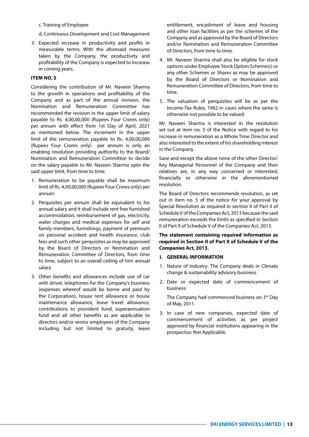c. Training of Employee

d. Continuous Development and Cost Management

3. Expected increase in productivity and profits in measurable terms: With the aforesaid measures taken by the Company, the productivity and profitability of the Company is expected to increase in coming years.

#### **ITEM NO. 5**

Considering the contribution of Mr. Naveen Sharma to the growth in operations and profitability of the Company and as part of the annual revision, the Nomination and Remuneration Committee has recommended the revision in the upper limit of salary payable to Rs. 4,00,00,000 (Rupees Four Crores only) per annum with effect from 1st Day of April, 2021 as mentioned below. The increment in the upper limit of the remuneration payable to Rs. 4,00,00,000 (Rupees Four Crores only) per annum is only an enabling resolution providing authority to the Board/ Nomination and Remuneration Committee to decide on the salary payable to Mr. Naveen Sharma upto the said upper limit, from time to time.

- 1. Remuneration to be payable shall be maximum limit of Rs. 4,00,00,000 (Rupees Four Crores only) per annum.
- 2. Perquisites per annum shall be equivalent to his annual salary and it shall include rent free furnished accommodation, reimbursement of gas, electricity, water charges and medical expenses for self and family members, furnishings, payment of premium on personal accident and health insurance, club fees and such other perquisites as may be approved by the Board of Directors or Nomination and Remuneration Committee of Directors, from time to time, subject to an overall ceiling of him annual salary
- 3. Other benefits and allowances include use of car with driver, telephones for the Company's business (expenses whereof would be borne and paid by the Corporation), house rent allowance or house maintenance allowance, leave travel allowance, contributions to provident fund, superannuation fund and all other benefits as are applicable to directors and/or senior employees of the Company including but not limited to gratuity, leave

entitlement, encashment of leave and housing and other loan facilities as per the schemes of the Company and as approved by the Board of Directors and/or Nomination and Remuneration Committee of Directors, from time to time.

- 4. Mr. Naveen Sharma shall also be eligible for stock options under Employee Stock Option Scheme(s) or any other Schemes or Shares as may be approved by the Board of Directors or Nomination and Remuneration Committee of Directors, from time to time.
- 5. The valuation of perquisites will be as per the Income-Tax Rules, 1962 in cases where the same is otherwise not possible to be valued.

Mr. Naveen Sharma is interested in the resolution set out at item no. 5 of the Notice with regard to his increase in remuneration as a Whole Time Director and also interested to the extent of his shareholding interest in the Company

Save and except the above none of the other Director/ Key Managerial Personnel of the Company and their relatives are, in any way concerned or interested, financially or otherwise in the aforementioned resolution.

The Board of Directors recommends resolution, as set out in item no. 5 of the notice for your approval by Special Resolution as required in section II of Part II of Schedule V of the Companies Act, 2013 because the said remuneration exceeds the limits as specified in Section II of Part II of Schedule V of the Companies Act, 2013.

#### **The statement containing required information as required in Section II of Part II of Schedule V of the Companies Act, 2013.**

#### **I. GENERAL INFORMATION**

- 1. Nature of Industry: The Company deals in Climate change & sustainability advisory business.
- 2. Date or expected date of commencement of business:

The Company had commenced business on 3rd Day of May, 2011.

3. In case of new companies, expected date of commencement of activities as per project approved by financial institutions appearing in the prospectus: Not Applicable.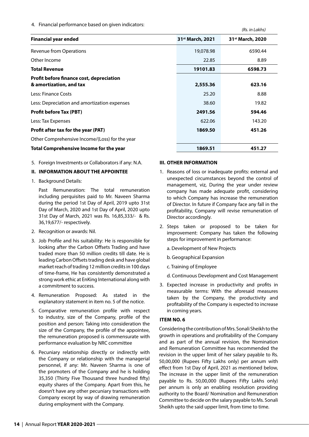4. Financial performance based on given indicators:

|                                                                     |                              | (113.111140113)              |
|---------------------------------------------------------------------|------------------------------|------------------------------|
| <b>Financial year ended</b>                                         | 31 <sup>st</sup> March, 2021 | 31 <sup>st</sup> March, 2020 |
| <b>Revenue from Operations</b>                                      | 19,078.98                    | 6590.44                      |
| Other Income                                                        | 22.85                        | 8.89                         |
| <b>Total Revenue</b>                                                | 19101.83                     | 6598.73                      |
| Profit before finance cost, depreciation<br>& amortization, and tax | 2,555.36                     | 623.16                       |
| Less: Finance Costs                                                 | 25.20                        | 8.88                         |
| Less: Depreciation and amortization expenses                        | 38.60                        | 19.82                        |
| <b>Profit before Tax (PBT)</b>                                      | 2491.56                      | 594.46                       |
| Less: Tax Expenses                                                  | 622.06                       | 143.20                       |
| Profit after tax for the year (PAT)                                 | 1869.50                      | 451.26                       |
| Other Comprehensive Income/(Loss) for the year                      |                              |                              |
| Total Comprehensive Income for the year                             | 1869.51                      | 451.27                       |

5. Foreign Investments or Collaborators if any: N.A.

#### **II. INFORMATION ABOUT THE APPOINTEE**

1. Background Details:

 Past Remuneration: The total remuneration including perquisites paid to Mr. Naveen Sharma during the period 1st Day of April, 2019 upto 31st Day of March, 2020 and 1st Day of April, 2020 upto 31st Day of March, 2021 was Rs. 16,85,333/- & Rs. 36,19,677/- respectively.

- 2. Recognition or awards: Nil.
- 3. Job Profile and his suitability: He is responsible for looking after the Carbon Offsets Trading and have traded more than 50 million credits till date. He is leading Carbon Offsets trading desk and have global market reach of trading 12 million credits in 100 days of time-frame, He has consistently demonstrated a strong work ethic at EnKing International along with a commitment to success.
- 4. Remuneration Proposed: As stated in the explanatory statement in item no. 5 of the notice.
- 5. Comparative remuneration profile with respect to industry, size of the Company, profile of the position and person: Taking into consideration the size of the Company, the profile of the appointee, the remuneration proposed is commensurate with performance evaluation by NRC committee
- 6. Pecuniary relationship directly or indirectly with the Company or relationship with the managerial personnel, if any: Mr. Naveen Sharma is one of the promoters of the Company and he is holding 35,350 (Thirty Five Thousand three hundred fifty) equity shares of the Company. Apart from this, he doesn't have any other pecuniary transactions with Company except by way of drawing remuneration during employment with the Company.

#### **III. OTHER INFORMATION**

1. Reasons of loss or inadequate profits: external and unexpected circumstances beyond the control of management, viz, During the year under review company has made adequate profit, considering to which Company has increase the remuneration of Director. In future if Company face any fall in the profitability, Company will revise remuneration of Director accordingly.

*(Rs. in Lakhs)*

- 2. Steps taken or proposed to be taken for improvement: Company has taken the following steps for improvement in performance:
	- a. Development of New Projects
	- b. Geographical Expansion
	- c. Training of Employee
	- d. Continuous Development and Cost Management
- 3. Expected increase in productivity and profits in measurable terms: With the aforesaid measures taken by the Company, the productivity and profitability of the Company is expected to increase in coming years.

#### **ITEM NO. 6**

Considering the contribution of Mrs. Sonali Sheikh to the growth in operations and profitability of the Company and as part of the annual revision, the Nomination and Remuneration Committee has recommended the revision in the upper limit of her salary payable to Rs. 50,00,000 (Rupees Fifty Lakhs only) per annum with effect from 1st Day of April, 2021 as mentioned below, The increase in the upper limit of the remuneration payable to Rs. 50,00,000 (Rupees Fifty Lakhs only) per annum is only an enabling resolution providing authority to the Board/ Nomination and Remuneration Committee to decide on the salary payable to Ms. Sonali Sheikh upto the said upper limit, from time to time.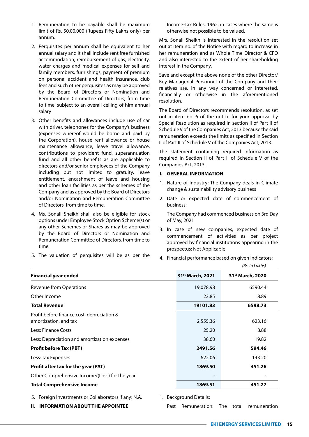- 1. Remuneration to be payable shall be maximum limit of Rs. 50,00,000 (Rupees Fifty Lakhs only) per annum.
- 2. Perquisites per annum shall be equivalent to her annual salary and it shall include rent free furnished accommodation, reimbursement of gas, electricity, water charges and medical expenses for self and family members, furnishings, payment of premium on personal accident and health insurance, club fees and such other perquisites as may be approved by the Board of Directors or Nomination and Remuneration Committee of Directors, from time to time, subject to an overall ceiling of him annual salary
- 3. Other benefits and allowances include use of car with driver, telephones for the Company's business (expenses whereof would be borne and paid by the Corporation), house rent allowance or house maintenance allowance, leave travel allowance, contributions to provident fund, superannuation fund and all other benefits as are applicable to directors and/or senior employees of the Company including but not limited to gratuity, leave entitlement, encashment of leave and housing and other loan facilities as per the schemes of the Company and as approved by the Board of Directors and/or Nomination and Remuneration Committee of Directors, from time to time.
- 4. Ms. Sonali Sheikh shall also be eligible for stock options under Employee Stock Option Scheme(s) or any other Schemes or Shares as may be approved by the Board of Directors or Nomination and Remuneration Committee of Directors, from time to time.
- 5. The valuation of perquisites will be as per the

**II. INFORMATION ABOUT THE APPOINTEE**

Income-Tax Rules, 1962, in cases where the same is otherwise not possible to be valued.

Mrs. Sonali Sheikh is interested in the resolution set out at item no. of the Notice with regard to increase in her remuneration and as Whole Time Director & CFO and also interested to the extent of her shareholding interest in the Company.

Save and except the above none of the other Director/ Key Managerial Personnel of the Company and their relatives are, in any way concerned or interested, financially or otherwise in the aforementioned resolution.

The Board of Directors recommends resolution, as set out in item no. 6 of the notice for your approval by Special Resolution as required in section II of Part II of Schedule V of the Companies Act, 2013 because the said remuneration exceeds the limits as specified in Section II of Part II of Schedule V of the Companies Act, 2013.

The statement containing required information as required in Section II of Part II of Schedule V of the Companies Act, 2013.

#### **I. GENERAL INFORMATION**

- 1. Nature of Industry: The Company deals in Climate change & sustainability advisory business
- 2. Date or expected date of commencement of business:

 The Company had commenced business on 3rd Day of May, 2021

- 3. In case of new companies, expected date of commencement of activities as per project approved by financial institutions appearing in the prospectus: Not Applicable
- 4. Financial performance based on given indicators:

| <b>Financial year ended</b>                                         | 31 <sup>st</sup> March, 2021 | 31 <sup>st</sup> March, 2020 |
|---------------------------------------------------------------------|------------------------------|------------------------------|
| <b>Revenue from Operations</b>                                      | 19,078.98                    | 6590.44                      |
| Other Income                                                        | 22.85                        | 8.89                         |
| <b>Total Revenue</b>                                                | 19101.83                     | 6598.73                      |
| Profit before finance cost, depreciation &<br>amortization, and tax | 2,555.36                     | 623.16                       |
| Less: Finance Costs                                                 | 25.20                        | 8.88                         |
| Less: Depreciation and amortization expenses                        | 38.60                        | 19.82                        |
| <b>Profit before Tax (PBT)</b>                                      | 2491.56                      | 594.46                       |
| Less: Tax Expenses                                                  | 622.06                       | 143.20                       |
| Profit after tax for the year (PAT)                                 | 1869.50                      | 451.26                       |
| Other Comprehensive Income/(Loss) for the year                      |                              |                              |
| <b>Total Comprehensive Income</b>                                   | 1869.51                      | 451.27                       |

*(Rs. in Lakhs)*

Past Remuneration: The total remuneration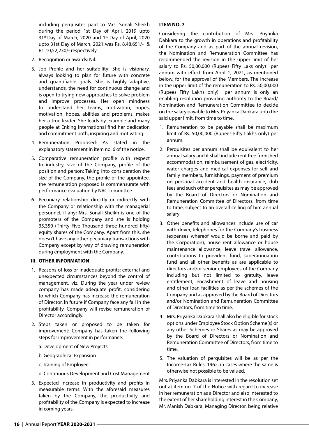including perquisites paid to Mrs. Sonali Sheikh during the period 1st Day of April, 2019 upto 31<sup>st</sup> Day of March, 2020 and 1<sup>st</sup> Day of April, 2020 upto 31st Day of March, 2021 was Rs. 8,48,651/- & Rs. 10,52,230/- respectively.

- 2. Recognition or awards: Nil.
- 3. Job Profile and her suitability: She is visionary, always looking to plan for future with concrete and quantifiable goals. She is highly adaptive, understands, the need for continuous change and is open to trying new approaches to solve problem and improve processes. Her open mindness to understand her teams, motivation, hopes, motivation, hopes, abilities and problems, makes her a true leader. She leads by example and many people at Enking International find her dedication and commitment both, inspiring and motivating.
- 4. Remuneration Proposed: As stated in the explanatory statement in item no. 6 of the notice.
- 5. Comparative remuneration profile with respect to industry, size of the Company, profile of the position and person: Taking into consideration the size of the Company, the profile of the appointee, the remuneration proposed is commensurate with performance evaluation by NRC committee
- 6. Pecuniary relationship directly or indirectly with the Company or relationship with the managerial personnel, if any: Mrs. Sonali Sheikh is one of the promoters of the Company and she is holding 35,350 (Thirty Five Thousand three hundred fifty) equity shares of the Company. Apart from this, she doesn't have any other pecuniary transactions with Company except by way of drawing remuneration during employment with the Company.

#### **III. OTHER INFORMATION**

- 1. Reasons of loss or inadequate profits: external and unexpected circumstances beyond the control of management, viz, During the year under review company has made adequate profit, considering to which Company has increase the remuneration of Director. In future if Company face any fall in the profitability, Company will revise remuneration of Director accordingly.
- 2. Steps taken or proposed to be taken for improvement: Company has taken the following steps for improvement in performance:
	- a. Development of New Projects
	- b. Geographical Expansion
	- c. Training of Employee
	- d. Continuous Development and Cost Management
- 3. Expected increase in productivity and profits in measurable terms: With the aforesaid measures taken by the Company, the productivity and profitability of the Company is expected to increase in coming years.

#### **ITEM NO. 7**

Considering the contribution of Mrs. Priyanka Dabkara to the growth in operations and profitability of the Company and as part of the annual revision, the Nomination and Remuneration Committee has recommended the revision in the upper limit of her salary to Rs. 50,00,000 (Rupees Fifty Laks only) per annum with effect from April 1, 2021, as mentioned below, for the approval of the Members. The increase in the upper limit of the remuneration to Rs. 50,00,000 (Rupees Fifty Lakhs only) per annum is only an enabling resolution providing authority to the Board/ Nomination and Remuneration Committee to decide on the salary payable to Mrs. Priyanka Dabkara upto the said upper limit, from time to time.

- 1. Remuneration to be payable shall be maximum limit of Rs. 50,00,000 (Rupees Fifty Lakhs only) per annum.
- 2. Perquisites per annum shall be equivalent to her annual salary and it shall include rent free furnished accommodation, reimbursement of gas, electricity, water charges and medical expenses for self and family members, furnishings, payment of premium on personal accident and health insurance, club fees and such other perquisites as may be approved by the Board of Directors or Nomination and Remuneration Committee of Directors, from time to time, subject to an overall ceiling of him annual salary
- 3. Other benefits and allowances include use of car with driver, telephones for the Company's business (expenses whereof would be borne and paid by the Corporation), house rent allowance or house maintenance allowance, leave travel allowance, contributions to provident fund, superannuation fund and all other benefits as are applicable to directors and/or senior employees of the Company including but not limited to gratuity, leave entitlement, encashment of leave and housing and other loan facilities as per the schemes of the Company and as approved by the Board of Directors and/or Nomination and Remuneration Committee of Directors, from time to time.
- 4. Mrs. Priyanka Dabkara shall also be eligible for stock options under Employee Stock Option Scheme(s) or any other Schemes or Shares as may be approved by the Board of Directors or Nomination and Remuneration Committee of Directors, from time to time.
- 5. The valuation of perquisites will be as per the Income-Tax Rules, 1962, in cases where the same is otherwise not possible to be valued.

Mrs. Priyanka Dabkara is interested in the resolution set out at item no. 7 of the Notice with regard to increase in her remuneration as a Director and also interested to the extent of her shareholding interest in the Company, Mr. Manish Dabkara, Managing Director, being relative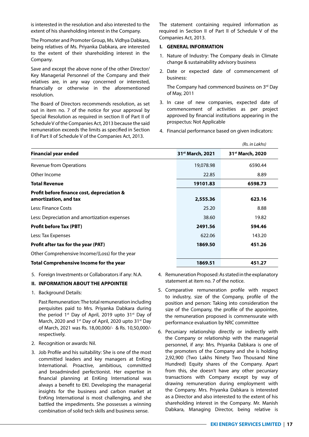is interested in the resolution and also interested to the extent of his shareholding interest in the Company.

The Promoter and Promoter Group, Ms. Vidhya Dabkara, being relatives of Ms. Priyanka Dabkara, are interested to the extent of their shareholding interest in the Company.

Save and except the above none of the other Director/ Key Managerial Personnel of the Company and their relatives are, in any way concerned or interested, financially or otherwise in the aforementioned resolution.

The Board of Directors recommends resolution, as set out in item no. 7 of the notice for your approval by Special Resolution as required in section II of Part II of Schedule V of the Companies Act, 2013 because the said remuneration exceeds the limits as specified in Section II of Part II of Schedule V of the Companies Act, 2013.

The statement containing required information as required in Section II of Part II of Schedule V of the Companies Act, 2013.

#### **I. GENERAL INFORMATION**

- 1. Nature of Industry: The Company deals in Climate change & sustainability advisory business
- 2. Date or expected date of commencement of business:

The Company had commenced business on 3rd Day of May, 2011

- 3. In case of new companies, expected date of commencement of activities as per project approved by financial institutions appearing in the prospectus: Not Applicable
- 4. Financial performance based on given indicators:

|                                                                     |                              | (Rs. in Lakhs)               |
|---------------------------------------------------------------------|------------------------------|------------------------------|
| <b>Financial year ended</b>                                         | 31 <sup>st</sup> March, 2021 | 31 <sup>st</sup> March, 2020 |
| <b>Revenue from Operations</b>                                      | 19,078.98                    | 6590.44                      |
| Other Income                                                        | 22.85                        | 8.89                         |
| <b>Total Revenue</b>                                                | 19101.83                     | 6598.73                      |
| Profit before finance cost, depreciation &<br>amortization, and tax | 2,555.36                     | 623.16                       |
| Less: Finance Costs                                                 | 25.20                        | 8.88                         |
| Less: Depreciation and amortization expenses                        | 38.60                        | 19.82                        |
| <b>Profit before Tax (PBT)</b>                                      | 2491.56                      | 594.46                       |
| Less: Tax Expenses                                                  | 622.06                       | 143.20                       |
| Profit after tax for the year (PAT)                                 | 1869.50                      | 451.26                       |
| Other Comprehensive Income/(Loss) for the year                      |                              |                              |
| <b>Total Comprehensive Income for the year</b>                      | 1869.51                      | 451.27                       |

5. Foreign Investments or Collaborators if any: N.A.

#### **II. INFORMATION ABOUT THE APPOINTEE**

1. Background Details:

 Past Remuneration: The total remuneration including perquisites paid to Mrs. Priyanka Dabkara during the period  $1<sup>st</sup>$  Day of April, 2019 upto 31 $<sup>st</sup>$  Day of</sup> March, 2020 and 1<sup>st</sup> Day of April, 2020 upto 31<sup>st</sup> Day of March, 2021 was Rs. 18,00,000/- & Rs. 10,50,000/ respectively.

- 2. Recognition or awards: Nil.
- 3. Job Profile and his suitability: She is one of the most committed leaders and key managers at EnKing International. Proactive, ambitious, committed and broadminded perfectionist. Her expertise in financial planning at EnKing International was always a benefit to EKI. Developing the managerial insights for the business and carbon market at EnKing International is most challenging, and she battled the impediments. She possesses a winning combination of solid tech skills and business sense.
- 4. Remuneration Proposed: As stated in the explanatory statement at item no. 7 of the notice.
- 5. Comparative remuneration profile with respect to industry, size of the Company, profile of the position and person: Taking into consideration the size of the Company, the profile of the appointee, the remuneration proposed is commensurate with performance evaluation by NRC committee
- 6. Pecuniary relationship directly or indirectly with the Company or relationship with the managerial personnel, if any: Mrs. Priyanka Dabkara is one of the promoters of the Company and she is holding 2,92,900 (Two Lakhs Ninety Two Thousand Nine Hundred) Equity shares of the Company. Apart from this, she doesn't have any other pecuniary transactions with Company except by way of drawing remuneration during employment with the Company. Mrs. Priyanka Dabkara is interested as a Director and also interested to the extent of his shareholding interest in the Company. Mr. Manish Dabkara, Managing Director, being relative is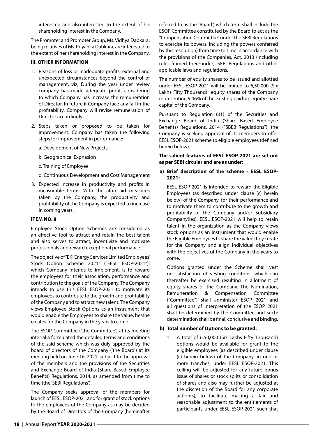interested and also interested to the extent of his shareholding interest in the Company.

The Promoter and Promoter Group, Ms. Vidhya Dabkara, being relatives of Ms. Priyanka Dabkara, are interested to the extent of her shareholding interest in the Company.

#### **III. OTHER INFORMATION**

- 1. Reasons of loss or inadequate profits: external and unexpected circumstances beyond the control of management, viz, During the year under review company has made adequate profit, considering to which Company has increase the remuneration of Director. In future if Company face any fall in the profitability, Company will revise remuneration of Director accordingly.
- 2. Steps taken or proposed to be taken for improvement: Company has taken the following steps for improvement in performance:
	- a. Development of New Projects
	- b. Geographical Expnasion
	- c. Training of Employee

d. Continuous Development and Cost Management

3. Expected increase in productivity and profits in measurable terms: With the aforesaid measures taken by the Company, the productivity and profitability of the Company is expected to increase in coming years.

#### **ITEM NO. 8**

Employee Stock Option Schemes are considered as an effective tool to attract and retain the best talent and also serves to attract, incentivize and motivate professionals and reward exceptional performance.

The objective of "EKI Energy Services Limited Employees' Stock Option Scheme 2021" ("EESL ESOP-2021"), which Company intends to implement, is to reward the employees for their association, performance and contribution to the goals of the Company. The Company intends to use this EESL ESOP-2021 to motivate its employees to contribute to the growth and profitability of the Company and to attract new talent. The Company views Employee Stock Options as an instrument that would enable the Employees to share the value, he/she creates for the Company in the years to come.

The ESOP Committee (`the Committee') at its meeting inter-alia formulated the detailed terms and conditions of the said scheme which was duly approved by the board of directors of the Company ('the Board') at its meeting held on June 16, 2021. subject to the approval of the members and the provisions of the Securities and Exchange Board of India (Share Based Employee Benefits) Regulations, 2014, as amended from time to time (the 'SEBI Regulations').

The Company seeks approval of the members for launch of EESL ESOP-2021 and for grant of stock options to the employees of the Company as may be decided by the Board of Directors of the Company (hereinafter

referred to as the "Board", which term shall include the ESOP Committee constituted by the Board to act as the "Compensation Committee" under the SEBI Regulations to exercise its powers, including the powers conferred by this resolution) from time to time in accordance with the provisions of the Companies, Act, 2013 (including rules framed thereunder), SEBI Regulations and other applicable laws and regulations.

The number of equity shares to be issued and allotted under EESL ESOP-2021 will be limited to 6,50,000 (Six Lakhs Fifty Thousand) equity shares of the Company representing 9.46% of the existing paid-up equity share capital of the Company.

Pursuant to Regulation 6(1) of the Securities and Exchange Board of India (Share Based Employee Benefits) Regulations, 2014 ("SBEB Regulations"), the Company is seeking approval of its members to offer EESL ESOP-2021 scheme to eligible employees (defined herein below).

#### **The salient features of EESL ESOP-2021 are set out as per SEBI circular and are as under:**

#### **a) Brief description of the scheme - EESL ESOP-2021:**

 EESL ESOP-2021 is intended to reward the Eligible Employees (as described under clause (c) herein below) of the Company, for their performance and to motivate them to contribute to the growth and profitability of the Company and/or Subsidiary Company(ies). EESL ESOP-2021 will help to retain talent in the organization as the Company views stock options as an instrument that would enable the Eligible Employees to share the value they create for the Company and align individual objectives with the objectives of the Company in the years to come.

 Options granted under the Scheme shall vest on satisfaction of vesting conditions which can thereafter be exercised resulting in allotment of equity shares of the Company. The Nomination, Remuneration & Compensation Committee ("Committee") shall administer ESOP 2021 and all questions of interpretation of the ESOP 2021 shall be determined by the Committee and such: determination shall be final, conclusive and binding.

#### **b) Total number of Options to be granted:**

1. A total of 6,50,000 (Six Lakhs Fifty Thousand) options would be available for grant to the eligible employees (as described under clause (c) herein below) of the Company, in one or more tranches, under EESL ESOP-2021. This ceiling will be adjusted for any future bonus issue of shares or stock splits or consolidation of shares and also may further be adjusted at the discretion of the Board for any corporate action(s), to facilitate making a fair and reasonable adjustment to the entitlements of participants under EESL ESOP-2021 such that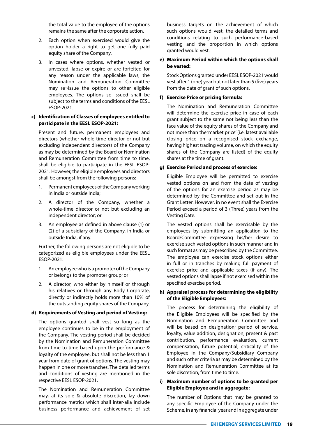the total value to the employee of the options remains the same after the corporate action.

- 2. Each option when exercised would give the option holder a right to get one fully paid equity share of the Company.
- 3. In cases where options, whether vested or unvested, lapse or expire or are forfeited for any reason under the applicable laws, the Nomination and Remuneration Committee may re¬issue the options to other eligible employees. The options so issued shall be subject to the terms and conditions of the EESL ESOP-2021.

#### **c) Identification of Classes of employees entitled to participate in the EESL ESOP-2021:**

 Present and future, permanent employees and directors (whether whole time director or not but excluding independent directors) of the Company as may be determined by the Board or Nomination and Remuneration Committee from time to time, shall be eligible to participate in the EESL ESOP-2021. However, the eligible employees and directors shall be amongst from the following persons:

- 1. Permanent employees of the Company working in India or outside India;
- 2. A director of the Company, whether a whole-time director or not but excluding an independent director; or
- 3. An employee as defined in above clause (1) or (2) of a subsidiary of the Company, in India or outside India, if any.

 Further, the following persons are not eligible to be categorized as eligible employees under the EESL ESOP-2021:

- 1. An employee who is a promoter of the Company or belongs to the promoter group; or
- 2. A director, who either by himself or through his relatives or through any Body Corporate, directly or indirectly holds more than 10% of the outstanding equity shares of the Company.

#### **d) Requirements of Vesting and period of Vesting:**

 The options granted shall vest so long as the employee continues to be in the employment of the Company. The vesting period shall be decided by the Nomination and Remuneration Committee from time to time based upon the performance & loyalty of the employee, but shall not be less than 1 year from date of grant of options. The vesting may happen in one or more tranches. The detailed terms and conditions of vesting are mentioned in the respective EESL ESOP-2021.

 The Nomination and Remuneration Committee may, at its sole & absolute discretion, lay down performance metrics which shall inter-alia include business performance and achievement of set business targets on the achievement of which such options would vest, the detailed terms and conditions relating to such performance-based vesting and the proportion in which options granted would vest.

#### **e) Maximum Period within which the options shall be vested:**

 Stock Options granted under EESL ESOP-2021 would vest after 1 (one) year but not later than 5 (five) years from the date of grant of such options.

#### **f) Exercise Price or pricing formula:**

 The Nomination and Remuneration Committee will determine the exercise price in case of each grant subject to the same not being less than the face value of the equity shares of the Company and not more than the 'market price' (i.e. latest available closing price on a recognised stock exchange, having highest trading volume, on which the equity shares of the Company are listed) of the equity shares at the time of grant.

#### **g) Exercise Period and process of exercise:**

 Eligible Employee will be permitted to exercise vested options on and from the date of vesting of the options for an exercise period as may be determined by the Committee and set out in the Grant Letter. However, in no event shall the Exercise Period exceed a period of 3 (Three) years from the Vesting Date.

 The vested options shall be exercisable by the employees by submitting an application to the Board/Committee expressing his/her desire to exercise such vested options in such manner and in such format as may be prescribed by the Committee. The employee can exercise stock options either in full or in tranches by making full payment of exercise price and applicable taxes (if any). The vested options shall lapse if not exercised within the specified exercise period.

#### **h) Appraisal process for determining the eligibility of the Eligible Employees:**

 The process for determining the eligibility of the Eligible Employees will be specified by the Nomination and Remuneration Committee and will be based on designation; period of service, loyalty, value addition, designation, present & past contribution, performance evaluation, current compensation, future potential, criticality of the Employee in the Company/Subsidiary Company and such other criteria as may be determined by the Nomination and Remuneration Committee at its sole discretion, from time to time.

#### **i) Maximum number of options to be granted per Eligible Employee and in aggregate:**

 The number of Options that may be granted to any specific Employee of the Company under the Scheme, in any financial year and in aggregate under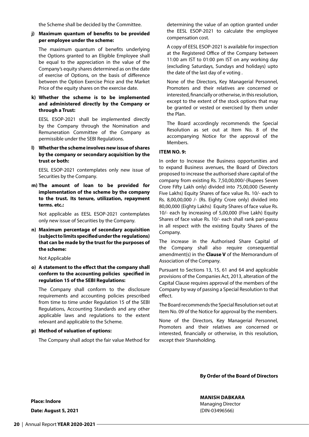the Scheme shall be decided by the Committee.

#### **j) Maximum quantum of benefits to be provided per employee under the scheme:**

 The maximum quantum of benefits underlying the Options granted to an Eligible Employee shall be equal to the appreciation in the value of the Company's equity shares determined as on the date of exercise of Options, on the basis of difference between the Option Exercise Price and the Market Price of the equity shares on the exercise date.

#### **k) Whether the scheme is to be implemented and administered directly by the Company or through a Trust:**

 EESL ESOP-2021 shall be implemented directly by the Company through the Nomination and Remuneration Committee of the Company as permissible under the SEBI Regulations.

#### **l) Whether the scheme involves new issue of shares by the company or secondary acquisition by the trust or both:**

 EESL ESOP-2021 contemplates only new issue of Securities by the Company.

**m) The amount of loan to be provided for implementation of the scheme by the company to the trust. Its tenure, utilization, repayment terms. etc.:** 

 Not applicable as EESL ESOP-2021 contemplates only new issue of Securities by the Company.

**n) Maximum percentage of secondary acquisition (subject to limits specified under the regulations) that can be made by the trust for the purposes of the scheme:** 

Not Applicable

**o) A statement to the effect that the company shall conform to the accounting policies specified in regulation 15 of the SEBI Regulations:** 

 The Company shall conform to the disclosure requirements and accounting policies prescribed from time to time under Regulation 15 of the SEBI Regulations, Accounting Standards and any other applicable laws and regulations to the extent relevant and applicable to the Scheme.

#### **p) Method of valuation of options:**

The Company shall adopt the fair value Method for

determining the value of an option granted under the EESL ESOP-2021 to calculate the employee compensation cost.

 A copy of EESL ESOP-2021 is available for inspection at the Registered Office of the Company between 11:00 am IST to 01:00 pm IST on any working day (excluding Saturdays, Sundays and holidays) upto the date of the last day of e voting .

 None of the Directors, Key Managerial Personnel, Promoters and their relatives are concerned or interested, financially or otherwise, in this resolution, except to the extent of the stock options that may be granted or vested or exercised by them under the Plan.

 The Board accordingly recommends the Special Resolution as set out at Item No. 8 of the accompanying Notice for the approval of the Members.

#### **ITEM NO. 9:**

In order to Increase the Business opportunities and to expand Business avenues, the Board of Directors proposed to increase the authorised share capital of the company from existing Rs. 7,50,00,000/-(Rupees Seven Crore Fifty Lakh only) divided into 75,00,000 (Seventy Five Lakhs) Equity Shares of face value Rs. 10/- each to Rs. 8,00,00,000 /- (Rs. Eighty Crore only) divided into 80,00,000 (Eighty Lakhs) Equity Shares of face value Rs. 10/- each by increasing of 5,00,000 (Five Lakh) Equity Shares of face value Rs. 10/- each shall rank pari-passu in all respect with the existing Equity Shares of the Company.

The increase in the Authorised Share Capital of the Company shall also require consequential amendment(s) in the **Clause V** of the Memorandum of Association of the Company.

Pursuant to Sections 13, 15, 61 and 64 and applicable provisions of the Companies Act, 2013, alteration of the Capital Clause requires approval of the members of the Company by way of passing a Special Resolution to that effect.

The Board recommends the Special Resolution set out at Item No. 09 of the Notice for approval by the members.

None of the Directors, Key Managerial Personnel, Promoters and their relatives are concerned or interested, financially or otherwise, in this resolution, except their Shareholding.

**By Order of the Board of Directors**

**MANISH DABKARA** Managing Director (DIN-03496566)

**Place: Indore**